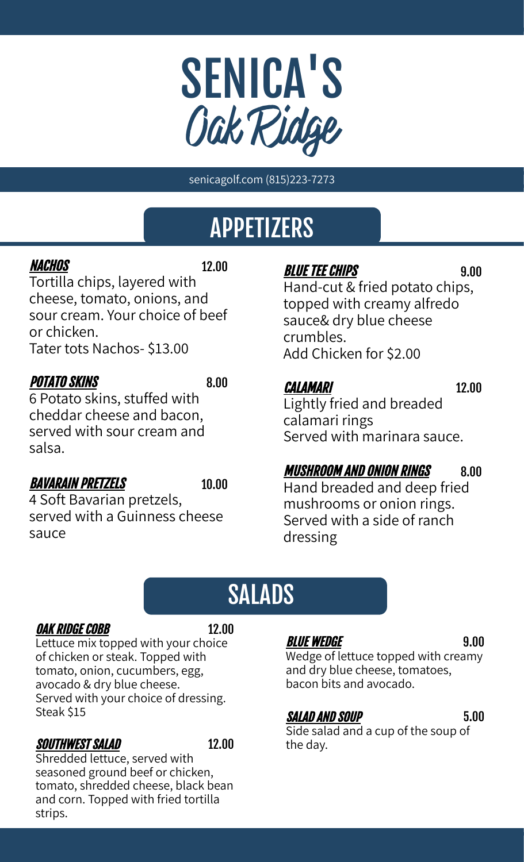

senicagolf.com (815)223-7273

## APPETIZERS

### NACHOS 12.00

Tortilla chips, layered with cheese, tomato, onions, and sour cream. Your choice of beef or chicken.

Tater tots Nachos- \$13.00

### POTATO SKINS 8.00

6 Potato skins, stuffed with cheddar cheese and bacon, served with sour cream and salsa.

### **BAVARAIN PRETZELS** 10.00

4 Soft Bavarian pretzels, served with a Guinness cheese sauce

### **BLUE TEE CHIPS** 9.00

Hand-cut & fried potato chips, topped with creamy alfredo sauce& dry blue cheese crumbles. Add Chicken for \$2.00

### CALAMARI 12.00

Lightly fried and breaded calamari rings Served with marinara sauce.

### MUSHROOM AND ONION RINGS 8.00

Hand breaded and deep fried mushrooms or onion rings. Served with a side of ranch dressing

# Addison and the contract of SALADS

### **OAK RIDGE COBB** 12.00

Lettuce mix topped with your choice of chicken or steak. Topped with tomato, onion, cucumbers, egg, avocado & dry blue cheese. Served with your choice of dressing. Steak \$15

### SOUTHWEST SALAD 12.00

Shredded lettuce, served with seasoned ground beef or chicken, tomato, shredded cheese, black bean and corn. Topped with fried tortilla strips.

### **BLUE WEDGE** 9.00

BLUE HEDUL<br>Wedge of lettuce topped with creamy and dry blue cheese, tomatoes, bacon bits and avocado.

### SALAD AND SOUP 5.00

Side salad and a cup of the soup of the day.